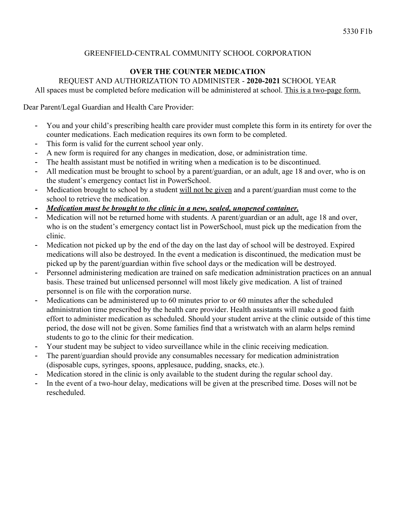# GREENFIELD-CENTRAL COMMUNITY SCHOOL CORPORATION

# **OVER THE COUNTER MEDICATION**

## REQUEST AND AUTHORIZATION TO ADMINISTER - **2020-2021** SCHOOL YEAR

All spaces must be completed before medication will be administered at school. This is a two-page form.

Dear Parent/Legal Guardian and Health Care Provider:

- You and your child's prescribing health care provider must complete this form in its entirety for over the counter medications. Each medication requires its own form to be completed.
- This form is valid for the current school year only.
- A new form is required for any changes in medication, dose, or administration time.
- The health assistant must be notified in writing when a medication is to be discontinued.
- All medication must be brought to school by a parent/guardian, or an adult, age 18 and over, who is on the student's emergency contact list in PowerSchool.
- Medication brought to school by a student will not be given and a parent/guardian must come to the school to retrieve the medication.
- *- Medication must be brought to the clinic in a new, sealed, unopened container.*
- Medication will not be returned home with students. A parent/guardian or an adult, age 18 and over, who is on the student's emergency contact list in PowerSchool, must pick up the medication from the clinic.
- Medication not picked up by the end of the day on the last day of school will be destroyed. Expired medications will also be destroyed. In the event a medication is discontinued, the medication must be picked up by the parent/guardian within five school days or the medication will be destroyed.
- Personnel administering medication are trained on safe medication administration practices on an annual basis. These trained but unlicensed personnel will most likely give medication. A list of trained personnel is on file with the corporation nurse.
- Medications can be administered up to 60 minutes prior to or 60 minutes after the scheduled administration time prescribed by the health care provider. Health assistants will make a good faith effort to administer medication as scheduled. Should your student arrive at the clinic outside of this time period, the dose will not be given. Some families find that a wristwatch with an alarm helps remind students to go to the clinic for their medication.
- Your student may be subject to video surveillance while in the clinic receiving medication.
- The parent/guardian should provide any consumables necessary for medication administration (disposable cups, syringes, spoons, applesauce, pudding, snacks, etc.).
- Medication stored in the clinic is only available to the student during the regular school day.
- In the event of a two-hour delay, medications will be given at the prescribed time. Doses will not be rescheduled.